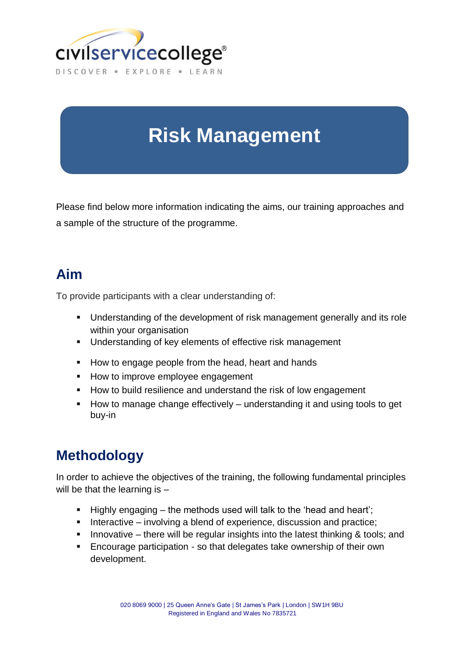

# **Risk Management**

Please find below more information indicating the aims, our training approaches and a sample of the structure of the programme.

#### **Aim**

To provide participants with a clear understanding of:

- **Understanding of the development of risk management generally and its role** within your organisation
- **Understanding of key elements of effective risk management**
- How to engage people from the head, heart and hands
- **How to improve employee engagement**
- **How to build resilience and understand the risk of low engagement**
- How to manage change effectively understanding it and using tools to get buy-in

## **Methodology**

In order to achieve the objectives of the training, the following fundamental principles will be that the learning is -

- Highly engaging the methods used will talk to the 'head and heart';
- $\blacksquare$  Interactive involving a blend of experience, discussion and practice;
- Innovative there will be regular insights into the latest thinking  $\&$  tools; and
- Encourage participation so that delegates take ownership of their own development.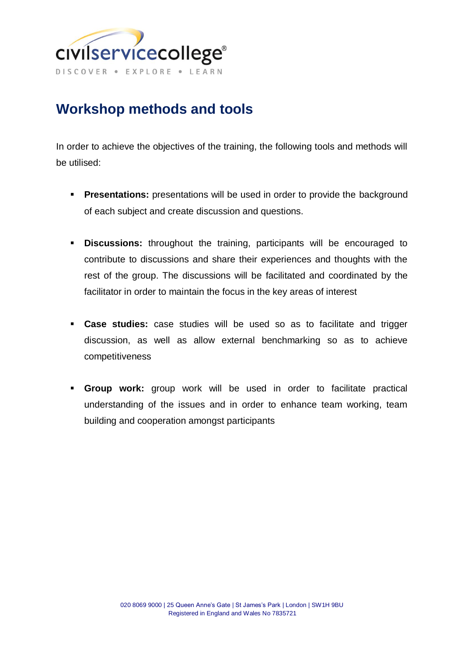

## **Workshop methods and tools**

In order to achieve the objectives of the training, the following tools and methods will be utilised:

- **Presentations:** presentations will be used in order to provide the background of each subject and create discussion and questions.
- **Discussions:** throughout the training, participants will be encouraged to contribute to discussions and share their experiences and thoughts with the rest of the group. The discussions will be facilitated and coordinated by the facilitator in order to maintain the focus in the key areas of interest
- **Case studies:** case studies will be used so as to facilitate and trigger discussion, as well as allow external benchmarking so as to achieve competitiveness
- **Group work:** group work will be used in order to facilitate practical understanding of the issues and in order to enhance team working, team building and cooperation amongst participants